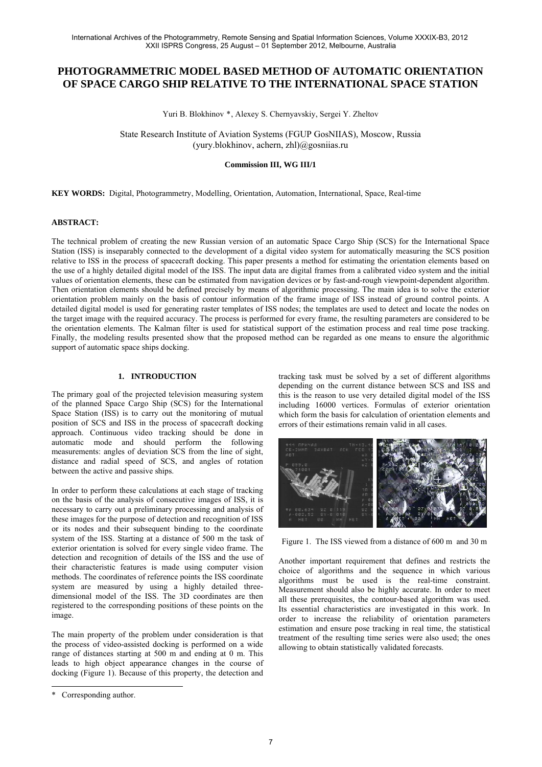# **PHOTOGRAMMETRIC MODEL BASED METHOD OF AUTOMATIC ORIENTATION OF SPACE CARGO SHIP RELATIVE TO THE INTERNATIONAL SPACE STATION**

Yuri B. Blokhinov [\\*](#page-0-0), Alexey S. Chernyavskiy, Sergei Y. Zheltov

State Research Institute of Aviation Systems (FGUP GosNIIAS), Moscow, Russia (yury.blokhinov, achern, zhl)@gosniias.ru

# **Commission III, WG III/1**

**KEY WORDS:** Digital, Photogrammetry, Modelling, Orientation, Automation, International, Space, Real-time

# **ABSTRACT:**

The technical problem of creating the new Russian version of an automatic Space Cargo Ship (SCS) for the International Space Station (ISS) is inseparably connected to the development of a digital video system for automatically measuring the SCS position relative to ISS in the process of spacecraft docking. This paper presents a method for estimating the orientation elements based on the use of a highly detailed digital model of the ISS. The input data are digital frames from a calibrated video system and the initial values of orientation elements, these can be estimated from navigation devices or by fast-and-rough viewpoint-dependent algorithm. Then orientation elements should be defined precisely by means of algorithmic processing. The main idea is to solve the exterior orientation problem mainly on the basis of contour information of the frame image of ISS instead of ground control points. A detailed digital model is used for generating raster templates of ISS nodes; the templates are used to detect and locate the nodes on the target image with the required accuracy. The process is performed for every frame, the resulting parameters are considered to be the orientation elements. The Kalman filter is used for statistical support of the estimation process and real time pose tracking. Finally, the modeling results presented show that the proposed method can be regarded as one means to ensure the algorithmic support of automatic space ships docking.

# **1. INTRODUCTION**

The primary goal of the projected television measuring system of the planned Space Cargo Ship (SCS) for the International Space Station (ISS) is to carry out the monitoring of mutual position of SCS and ISS in the process of spacecraft docking approach. Continuous video tracking should be done in automatic mode and should perform the following measurements: angles of deviation SCS from the line of sight, distance and radial speed of SCS, and angles of rotation between the active and passive ships.

In order to perform these calculations at each stage of tracking on the basis of the analysis of consecutive images of ISS, it is necessary to carry out a preliminary processing and analysis of these images for the purpose of detection and recognition of ISS or its nodes and their subsequent binding to the coordinate system of the ISS. Starting at a distance of 500 m the task of exterior orientation is solved for every single video frame. The detection and recognition of details of the ISS and the use of their characteristic features is made using computer vision methods. The coordinates of reference points the ISS coordinate system are measured by using a highly detailed threedimensional model of the ISS. The 3D coordinates are then registered to the corresponding positions of these points on the image.

The main property of the problem under consideration is that the process of video-assisted docking is performed on a wide range of distances starting at 500 m and ending at 0 m. This leads to high object appearance changes in the course of docking (Figure 1). Because of this property, the detection and

l

tracking task must be solved by a set of different algorithms depending on the current distance between SCS and ISS and this is the reason to use very detailed digital model of the ISS including 16000 vertices. Formulas of exterior orientation which form the basis for calculation of orientation elements and errors of their estimations remain valid in all cases.



Figure 1. The ISS viewed from a distance of 600 m and 30 m

Another important requirement that defines and restricts the choice of algorithms and the sequence in which various algorithms must be used is the real-time constraint. Measurement should also be highly accurate. In order to meet all these prerequisites, the contour-based algorithm was used. Its essential characteristics are investigated in this work. In order to increase the reliability of orientation parameters estimation and ensure pose tracking in real time, the statistical treatment of the resulting time series were also used; the ones allowing to obtain statistically validated forecasts.

<span id="page-0-0"></span><sup>\*</sup> Corresponding author.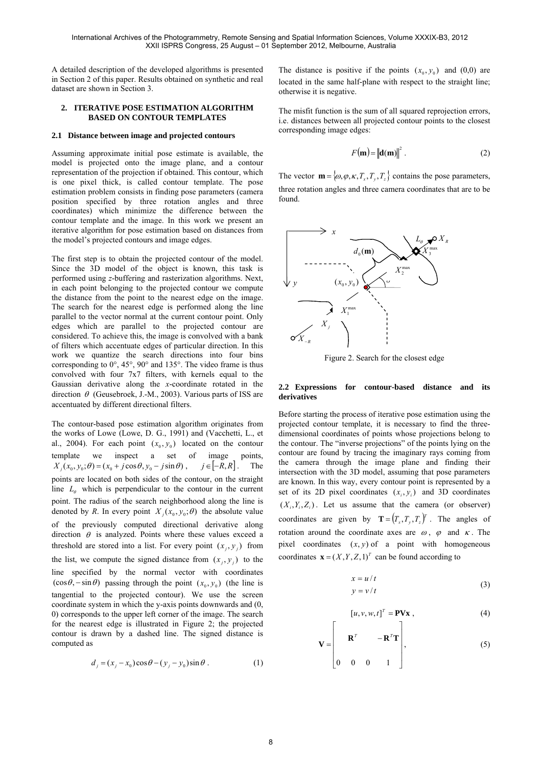A detailed description of the developed algorithms is presented in Section 2 of this paper. Results obtained on synthetic and real dataset are shown in Section 3.

## **2. ITERATIVE POSE ESTIMATION ALGORITHM BASED ON CONTOUR TEMPLATES**

## **2.1 Distance between image and projected contours**

Assuming approximate initial pose estimate is available, the model is projected onto the image plane, and a contour representation of the projection if obtained. This contour, which is one pixel thick, is called contour template. The pose estimation problem consists in finding pose parameters (camera position specified by three rotation angles and three coordinates) which minimize the difference between the contour template and the image. In this work we present an iterative algorithm for pose estimation based on distances from the model's projected contours and image edges.

The first step is to obtain the projected contour of the model. Since the 3D model of the object is known, this task is performed using *z*-buffering and rasterization algorithms. Next, in each point belonging to the projected contour we compute the distance from the point to the nearest edge on the image. The search for the nearest edge is performed along the line parallel to the vector normal at the current contour point. Only edges which are parallel to the projected contour are considered. To achieve this, the image is convolved with a bank of filters which accentuate edges of particular direction. In this work we quantize the search directions into four bins corresponding to 0°, 45°, 90° and 135°. The video frame is thus convolved with four 7х7 filters, with kernels equal to the Gaussian derivative along the *x*-coordinate rotated in the direction  $\theta$  (Geusebroek, J.-M., 2003). Various parts of ISS are accentuated by different directional filters.

The contour-based pose estimation algorithm originates from the works of Lowe (Lowe, D. G., 1991) and (Vacchetti, L., et al., 2004). For each point  $(x_0, y_0)$  located on the contour template we inspect a set of image points,  $X_j(x_0, y_0; \theta) = (x_0 + j\cos\theta, y_0 - j\sin\theta)$ ,  $j \in [-R, R]$ . The points are located on both sides of the contour, on the straight line  $L_{\theta}$  which is perpendicular to the contour in the current point. The radius of the search neighborhood along the line is denoted by *R*. In every point  $X_j(x_0, y_0; \theta)$  the absolute value of the previously computed directional derivative along direction  $\theta$  is analyzed. Points where these values exceed a threshold are stored into a list. For every point  $(x_j, y_j)$  from the list, we compute the signed distance from  $(x_j, y_j)$  to the line specified by the normal vector with coordinates  $(\cos \theta, -\sin \theta)$  passing through the point  $(x_0, y_0)$  (the line is tangential to the projected contour). We use the screen coordinate system in which the y-axis points downwards and (0, 0) corresponds to the upper left corner of the image. The search for the nearest edge is illustrated in Figure 2; the projected contour is drawn by a dashed line. The signed distance is computed as

$$
d_j = (x_j - x_0)\cos\theta - (y_j - y_0)\sin\theta. \tag{1}
$$

The distance is positive if the points  $(x_0, y_0)$  and (0,0) are located in the same half-plane with respect to the straight line; otherwise it is negative.

The misfit function is the sum of all squared reprojection errors, i.e. distances between all projected contour points to the closest corresponding image edges:

$$
F(\mathbf{m}) = |\mathbf{d}(\mathbf{m})|^2.
$$
 (2)

The vector  $\mathbf{m} = \{\omega, \varphi, \kappa, T_x, T_y, T_z\}$  contains the pose parameters, three rotation angles and three camera coordinates that are to be found.



Figure 2. Search for the closest edge

### **2.2 Expressions for contour-based distance and its derivatives**

Before starting the process of iterative pose estimation using the projected contour template, it is necessary to find the threedimensional coordinates of points whose projections belong to the contour. The "inverse projections" of the points lying on the contour are found by tracing the imaginary rays coming from the camera through the image plane and finding their intersection with the 3D model, assuming that pose parameters are known. In this way, every contour point is represented by a set of its 2D pixel coordinates  $(x_i, y_i)$  and 3D coordinates  $(X_i, Y_i, Z_i)$ . Let us assume that the camera (or observer) coordinates are given by  $\mathbf{T} = (T_x, T_y, T_z)^T$ . The angles of rotation around the coordinate axes are  $\omega$ ,  $\varphi$  and  $\kappa$ . The pixel coordinates  $(x, y)$  of a point with homogeneous coordinates  $\mathbf{x} = (X, Y, Z, 1)^T$  can be found according to

$$
x = u/t
$$
  
\n
$$
y = v/t
$$
\n(3)

$$
[u, v, w, t]^T = \mathbf{PVx} \tag{4}
$$

$$
\mathbf{V} = \begin{bmatrix} \mathbf{R}^T & -\mathbf{R}^T \mathbf{T} \\ 0 & 0 & 0 & 1 \end{bmatrix}, \tag{5}
$$

 $\Gamma$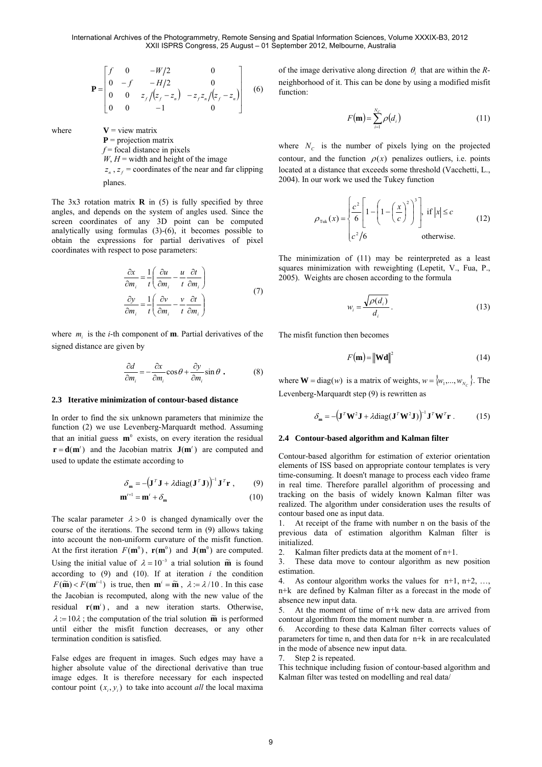International Archives of the Photogrammetry, Remote Sensing and Spatial Information Sciences, Volume XXXIX-B3, 2012 XXII ISPRS Congress, 25 August – 01 September 2012, Melbourne, Australia

$$
\mathbf{P} = \begin{bmatrix} f & 0 & -W/2 & 0 \\ 0 & -f & -H/2 & 0 \\ 0 & 0 & z_f/(z_f - z_n) & -z_f z_n/(z_f - z_n) \\ 0 & 0 & -1 & 0 \end{bmatrix}
$$
 (6)

where  $V =$  view matrix **P** = projection matrix *f* = focal distance in pixels  $W, H$  = width and height of the image  $z_n$ ,  $z_f$  = coordinates of the near and far clipping planes.

The  $3x3$  rotation matrix **R** in (5) is fully specified by three angles, and depends on the system of angles used. Since the screen coordinates of any 3D point can be computed analytically using formulas (3)-(6), it becomes possible to obtain the expressions for partial derivatives of pixel coordinates with respect to pose parameters:

$$
\frac{\partial x}{\partial m_i} = \frac{1}{t} \left( \frac{\partial u}{\partial m_i} - \frac{u}{t} \frac{\partial t}{\partial m_i} \right)
$$
\n
$$
\frac{\partial y}{\partial m_i} = \frac{1}{t} \left( \frac{\partial v}{\partial m_i} - \frac{v}{t} \frac{\partial t}{\partial m_i} \right)
$$
\n(7)

where  $m_i$  is the *i*-th component of **m**. Partial derivatives of the signed distance are given by

$$
\frac{\partial d}{\partial m_i} = -\frac{\partial x}{\partial m_i} \cos \theta + \frac{\partial y}{\partial m_i} \sin \theta \tag{8}
$$

#### **2.3 Iterative minimization of contour-based distance**

In order to find the six unknown parameters that minimize the function (2) we use Levenberg-Marquardt method. Assuming that an initial guess  $m^0$  exists, on every iteration the residual  $\mathbf{r} = \mathbf{d}(\mathbf{m}^t)$  and the Jacobian matrix  $\mathbf{J}(\mathbf{m}^t)$  are computed and used to update the estimate according to

$$
\delta_{\mathbf{m}} = -(\mathbf{J}^T \mathbf{J} + \lambda \text{diag}(\mathbf{J}^T \mathbf{J}))^{-1} \mathbf{J}^T \mathbf{r} \tag{9}
$$

$$
\mathbf{m}^{t+1} = \mathbf{m}^t + \delta_{\mathbf{m}} \tag{10}
$$

The scalar parameter  $\lambda > 0$  is changed dynamically over the course of the iterations. The second term in (9) allows taking into account the non-uniform curvature of the misfit function. At the first iteration  $F(\mathbf{m}^0)$ ,  $\mathbf{r}(\mathbf{m}^0)$  and  $\mathbf{J}(\mathbf{m}^0)$  are computed. Using the initial value of  $\lambda = 10^{-3}$  a trial solution **m** is found according to  $(9)$  and  $(10)$ . If at iteration *i* the condition  $F(\widetilde{\mathbf{m}}) < F(\mathbf{m}^{i-1})$  is true, then  $\mathbf{m}^i = \widetilde{\mathbf{m}}$ ,  $\lambda = \lambda/10$ . In this case the Jacobian is recomputed, along with the new value of the residual  $\mathbf{r}(\mathbf{m}^i)$ , and a new iteration starts. Otherwise,  $\lambda = 10\lambda$ ; the computation of the trial solution  $\tilde{m}$  is performed until either the misfit function decreases, or any other termination condition is satisfied.

False edges are frequent in images. Such edges may have a higher absolute value of the directional derivative than true image edges. It is therefore necessary for each inspected contour point  $(x_i, y_i)$  to take into account *all* the local maxima

of the image derivative along direction  $\theta_i$  that are within the *R*neighborhood of it. This can be done by using a modified misfit function:

$$
F(\mathbf{m}) = \sum_{i=1}^{N_C} \rho(d_i)
$$
 (11)

where  $N_c$  is the number of pixels lying on the projected contour, and the function  $\rho(x)$  penalizes outliers, i.e. points located at a distance that exceeds some threshold (Vacchetti, L., 2004). In our work we used the Tukey function

$$
\rho_{\text{Tuk}}(x) = \begin{cases} \frac{c^2}{6} \left[ 1 - \left( 1 - \left( \frac{x}{c} \right)^2 \right)^3 \right], & \text{if } |x| \le c \\ c^2 / 6 & \text{otherwise.} \end{cases}
$$
(12)

The minimization of (11) may be reinterpreted as a least squares minimization with reweighting (Lepetit, V., Fua, P., 2005). Weights are chosen according to the formula

$$
w_i = \frac{\sqrt{\rho(d_i)}}{d_i} \,. \tag{13}
$$

The misfit function then becomes

$$
F(\mathbf{m}) = \left\| \mathbf{W} \mathbf{d} \right\|^2 \tag{14}
$$

where  $W = diag(w)$  is a matrix of weights,  $w = \{w_1, \ldots, w_{w_n}\}\$ . The Levenberg-Marquardt step (9) is rewritten as

$$
\delta_{\mathbf{m}} = -(\mathbf{J}^T \mathbf{W}^2 \mathbf{J} + \lambda \text{diag}(\mathbf{J}^T \mathbf{W}^2 \mathbf{J}))^{-1} \mathbf{J}^T \mathbf{W}^T \mathbf{r}.
$$
 (15)

#### **2.4 Contour-based algorithm and Kalman filter**

Contour-based algorithm for estimation of exterior orientation elements of ISS based on appropriate contour templates is very time-consuming. It doesn't manage to process each video frame in real time. Therefore parallel algorithm of processing and tracking on the basis of widely known Kalman filter was realized. The algorithm under consideration uses the results of contour based one as input data.

1. At receipt of the frame with number n on the basis of the previous data of estimation algorithm Kalman filter is initialized.

2. Kalman filter predicts data at the moment of n+1.

3. These data move to contour algorithm as new position estimation.

4. As contour algorithm works the values for  $n+1$ ,  $n+2$ , ..., n+k are defined by Kalman filter as a forecast in the mode of absence new input data.

5. At the moment of time of n+k new data are arrived from contour algorithm from the moment number n.

6. According to these data Kalman filter corrects values of parameters for time n, and then data for n+k in are recalculated in the mode of absence new input data.

7. Step 2 is repeated.

This technique including fusion of contour-based algorithm and Kalman filter was tested on modelling and real data/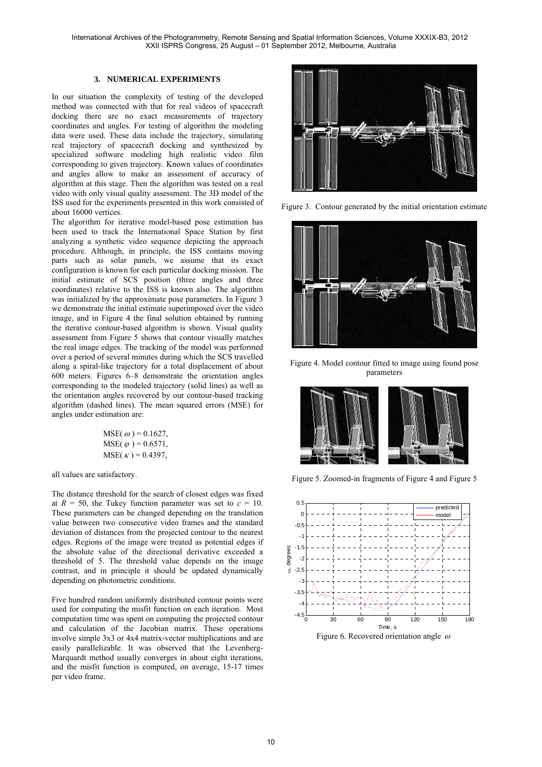# **3. NUMERICAL EXPERIMENTS**

In our situation the complexity of testing of the developed method was connected with that for real videos of spacecraft docking there are no exact measurements of trajectory coordinates and angles. For testing of algorithm the modeling data were used. These data include the trajectory, simulating real trajectory of spacecraft docking and synthesized by specialized software modeling high realistic video film corresponding to given trajectory. Known values of coordinates and angles allow to make an assessment of accuracy of algorithm at this stage. Then the algorithm was tested on a real video with only visual quality assessment. The 3D model of the ISS used for the experiments presented in this work consisted of about 16000 vertices.

The algorithm for iterative model-based pose estimation has been used to track the International Space Station by first analyzing a synthetic video sequence depicting the approach procedure. Although, in principle, the ISS contains moving parts such as solar panels, we assume that its exact configuration is known for each particular docking mission. The initial estimate of SCS position (three angles and three coordinates) relative to the ISS is known also. The algorithm was initialized by the approximate pose parameters. In Figure 3 we demonstrate the initial estimate superimposed over the video image, and in Figure 4 the final solution obtained by running the iterative contour-based algorithm is shown. Visual quality assessment from Figure 5 shows that contour visually matches the real image edges. The tracking of the model was performed over a period of several minutes during which the SCS travelled along a spiral-like trajectory for a total displacement of about 600 meters. Figures 6–8 demonstrate the orientation angles corresponding to the modeled trajectory (solid lines) as well as the orientation angles recovered by our contour-based tracking algorithm (dashed lines). The mean squared errors (MSE) for angles under estimation are:

| $MSE(\omega) = 0.1627,$    |
|----------------------------|
| MSE( $\varphi$ ) = 0.6571, |
| $MSE(\kappa) = 0.4397,$    |

all values are satisfactory.

The distance threshold for the search of closest edges was fixed at  $R = 50$ , the Tukey function parameter was set to  $c = 10$ . These parameters can be changed depending on the translation value between two consecutive video frames and the standard deviation of distances from the projected contour to the nearest edges. Regions of the image were treated as potential edges if the absolute value of the directional derivative exceeded a threshold of 5. The threshold value depends on the image contrast, and in principle it should be updated dynamically depending on photometric conditions.

Five hundred random uniformly distributed contour points were used for computing the misfit function on each iteration. Most computation time was spent on computing the projected contour and calculation of the Jacobian matrix. These operations involve simple 3x3 or 4x4 matrix-vector multiplications and are easily parallelizable. It was observed that the Levenberg-Marquardt method usually converges in about eight iterations, and the misfit function is computed, on average, 15-17 times per video frame.



Figure 3. Contour generated by the initial orientation estimate



Figure 4. Model contour fitted to image using found pose parameters



Figure 5. Zoomed-in fragments of Figure 4 and Figure 5



Figure 6. Recovered orientation angle  $\omega$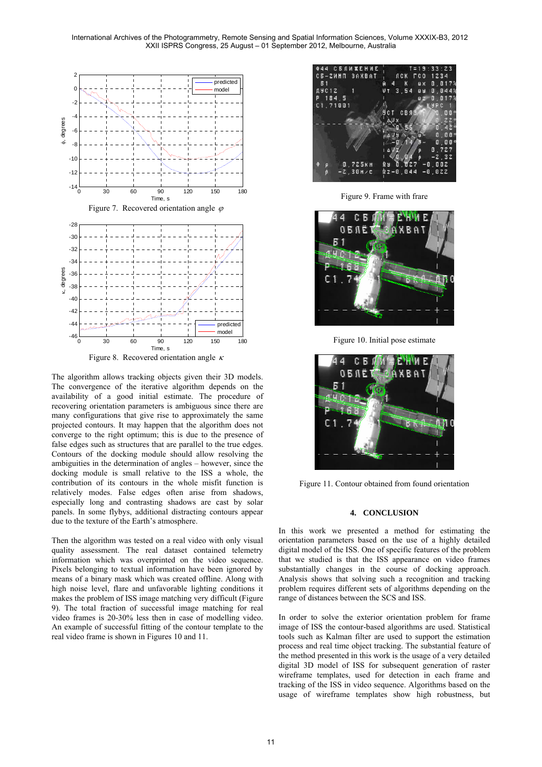

Figure 8. Recovered orientation angle  $\kappa$ 

The algorithm allows tracking objects given their 3D models. The convergence of the iterative algorithm depends on the availability of a good initial estimate. The procedure of recovering orientation parameters is ambiguous since there are many configurations that give rise to approximately the same projected contours. It may happen that the algorithm does not converge to the right optimum; this is due to the presence of false edges such as structures that are parallel to the true edges. Contours of the docking module should allow resolving the ambiguities in the determination of angles – however, since the docking module is small relative to the ISS a whole, the contribution of its contours in the whole misfit function is relatively modes. False edges often arise from shadows, especially long and contrasting shadows are cast by solar panels. In some flybys, additional distracting contours appear due to the texture of the Earth's atmosphere.

Then the algorithm was tested on a real video with only visual quality assessment. The real dataset contained telemetry information which was overprinted on the video sequence. Pixels belonging to textual information have been ignored by means of a binary mask which was created offline. Along with high noise level, flare and unfavorable lighting conditions it makes the problem of ISS image matching very difficult (Figure 9). The total fraction of successful image matching for real video frames is 20-30% less then in case of modelling video. An example of successful fitting of the contour template to the real video frame is shown in Figures 10 and 11.



Figure 9. Frame with frare



Figure 10. Initial pose estimate



Figure 11. Contour obtained from found orientation

## **4. CONCLUSION**

In this work we presented a method for estimating the orientation parameters based on the use of a highly detailed digital model of the ISS. One of specific features of the problem that we studied is that the ISS appearance on video frames substantially changes in the course of docking approach. Analysis shows that solving such a recognition and tracking problem requires different sets of algorithms depending on the range of distances between the SCS and ISS.

In order to solve the exterior orientation problem for frame image of ISS the contour-based algorithms are used. Statistical tools such as Kalman filter are used to support the estimation process and real time object tracking. The substantial feature of the method presented in this work is the usage of a very detailed digital 3D model of ISS for subsequent generation of raster wireframe templates, used for detection in each frame and tracking of the ISS in video sequence. Algorithms based on the usage of wireframe templates show high robustness, but